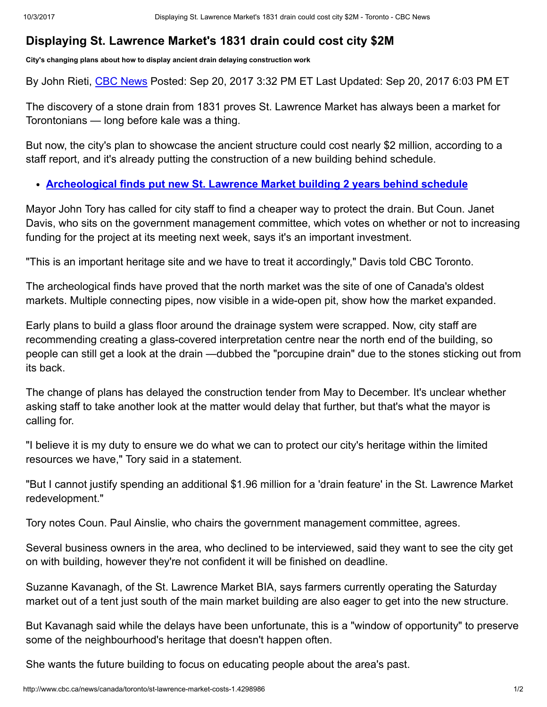## Displaying St. Lawrence Market's 1831 drain could cost city \$2M

City's changing plans about how to display ancient drain delaying construction work

By John Rieti, CBC [News](http://www.cbc.ca/news/cbc-news-online-news-staff-list-1.1294364) Posted: Sep 20, 2017 3:32 PM ET Last Updated: Sep 20, 2017 6:03 PM ET

The discovery of a stone drain from 1831 proves St. Lawrence Market has always been a market for Torontonians — long before kale was a thing.

But now, the city's plan to showcase the ancient structure could cost nearly \$2 million, according to a staff report, and it's already putting the construction of a new building behind schedule.

[Archeological](http://www.cbc.ca/news/canada/toronto/archeological-finds-put-new-st-lawrence-market-building-2-years-behind-schedule-1.4147323) finds put new St. Lawrence Market building 2 years behind schedule

Mayor John Tory has called for city staff to find a cheaper way to protect the drain. But Coun. Janet Davis, who sits on the government management committee, which votes on whether or not to increasing funding for the project at its meeting next week, says it's an important investment.

"This is an important heritage site and we have to treat it accordingly," Davis told CBC Toronto.

The archeological finds have proved that the north market was the site of one of Canada's oldest markets. Multiple connecting pipes, now visible in a wide-open pit, show how the market expanded.

Early plans to build a glass floor around the drainage system were scrapped. Now, city staff are recommending creating a glass-covered interpretation centre near the north end of the building, so people can still get a look at the drain —dubbed the "porcupine drain" due to the stones sticking out from its back.

The change of plans has delayed the construction tender from May to December. It's unclear whether asking staff to take another look at the matter would delay that further, but that's what the mayor is calling for.

"I believe it is my duty to ensure we do what we can to protect our city's heritage within the limited resources we have," Tory said in a statement.

"But I cannot justify spending an additional \$1.96 million for a 'drain feature' in the St. Lawrence Market redevelopment."

Tory notes Coun. Paul Ainslie, who chairs the government management committee, agrees.

Several business owners in the area, who declined to be interviewed, said they want to see the city get on with building, however they're not confident it will be finished on deadline.

Suzanne Kavanagh, of the St. Lawrence Market BIA, says farmers currently operating the Saturday market out of a tent just south of the main market building are also eager to get into the new structure.

But Kavanagh said while the delays have been unfortunate, this is a "window of opportunity" to preserve some of the neighbourhood's heritage that doesn't happen often.

She wants the future building to focus on educating people about the area's past.